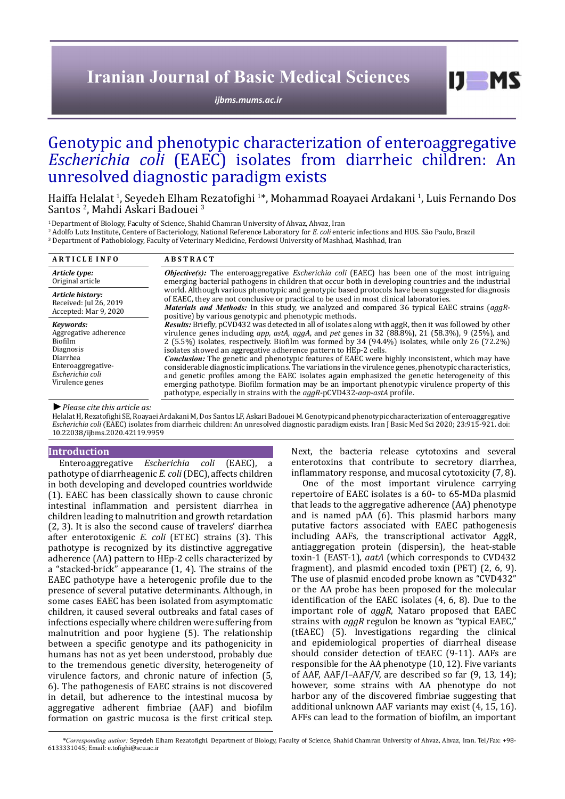# **Iranian Journal of Basic Medical Sciences**

*[ijbms.mums.ac.ir](http://ijbms.mums.ac.ir)*

# Genotypic and phenotypic characterization of enteroaggregative *Escherichia coli* (EAEC) isolates from diarrheic children: An unresolved diagnostic paradigm exists

Haiffa Helalat <sup>1</sup>, Seyedeh Elham Rezatofighi <sup>1</sup>\*, Mohammad Roayaei Ardakani <sup>1</sup>, Luis Fernando Dos Santos <sup>2</sup>, Mahdi Askari Badouei <sup>3</sup>

<sup>1</sup> Department of Biology, Faculty of Science, Shahid Chamran University of Ahvaz, Ahvaz, Iran

2 Adolfo Lutz Institute, Centere of Bacteriology, National Reference Laboratory for *E. coli* enteric infections and HUS. São Paulo, Brazil

3 Department of Pathobiology, Faculty of Veterinary Medicine, Ferdowsi University of Mashhad, Mashhad, Iran **A R T I C L E I N F O A B S T R A C T** *Article type:* Original article *Objective(s):* The enteroaggregative *Escherichia coli* (EAEC) has been one of the most intriguing emerging bacterial pathogens in children that occur both in developing countries and the industrial world. Although various phenotypic and genotypic based protocols have been suggested for diagnosis of EAEC, they are not conclusive or practical to be used in most clinical laboratories. *Materials and Methods:* In this study, we analyzed and compared 36 typical EAEC strains (*aggR*positive) by various genotypic and phenotypic methods. *Results:* Briefly, pCVD432 was detected in all of isolates along with aggR, then it was followed by other virulence genes including *app, astA, aggA*, and *pet* genes in 32 (88.8%), 21 (58.3%), 9 (25%), and 2 (5.5%) isolates, respectively. Biofilm was formed by 34 (94.4%) isolates, while only 26 (72.2%) isolates showed an aggregative adherence pattern to HEp-2 cells. *Conclusion:* The genetic and phenotypic features of EAEC were highly inconsistent, which may have considerable diagnostic implications. The variations in the virulence genes, phenotypic characteristics, and genetic profiles among the EAEC isolates again emphasized the genetic heterogeneity of this emerging pathotype. Biofilm formation may be an important phenotypic virulence property of this pathotype, especially in strains with the *aggR*-pCVD432-*aap-astA* profile. *Article history:* Received: Jul 26, 2019 Accepted: Mar 9, 2020 *Keywords:* Aggregative adherence Biofilm Diagnosis Diarrhea Enteroaggregative-*Escherichia coli* Virulence genes

*►Please cite this article as:*

Helalat H, Rezatofighi SE, Roayaei Ardakani M, Dos Santos LF, Askari Badouei M. Genotypic and phenotypic characterization of enteroaggregative *Escherichia coli* (EAEC) isolates from diarrheic children: An unresolved diagnostic paradigm exists. Iran J Basic Med Sci 2020; 23:915-921. doi: 10.22038/ijbms.2020.42119.9959

#### **Introduction**

Enteroaggregative *Escherichia coli* (EAEC), a pathotype of diarrheagenic *E. coli* (DEC), affects children in both developing and developed countries worldwide (1). EAEC has been classically shown to cause chronic intestinal inflammation and persistent diarrhea in children leading to malnutrition and growth retardation (2, 3). It is also the second cause of travelers' diarrhea after enterotoxigenic *E. coli* (ETEC) strains (3). This pathotype is recognized by its distinctive aggregative adherence (AA) pattern to HEp-2 cells characterized by a "stacked-brick" appearance (1, 4). The strains of the EAEC pathotype have a heterogenic profile due to the presence of several putative determinants. Although, in some cases EAEC has been isolated from asymptomatic children, it caused several outbreaks and fatal cases of infections especially where children were suffering from malnutrition and poor hygiene (5). The relationship between a specific genotype and its pathogenicity in humans has not as yet been understood, probably due to the tremendous genetic diversity, heterogeneity of virulence factors, and chronic nature of infection (5, 6). The pathogenesis of EAEC strains is not discovered in detail, but adherence to the intestinal mucosa by aggregative adherent fimbriae (AAF) and biofilm formation on gastric mucosa is the first critical step.

Next, the bacteria release cytotoxins and several enterotoxins that contribute to secretory diarrhea, inflammatory response, and mucosal cytotoxicity (7, 8).

 $I$   $I$   $M$   $S$ 

One of the most important virulence carrying repertoire of EAEC isolates is a 60- to 65-MDa plasmid that leads to the aggregative adherence (AA) phenotype and is named pAA (6). This plasmid harbors many putative factors associated with EAEC pathogenesis including AAFs, the transcriptional activator AggR, antiaggregation protein (dispersin), the heat-stable toxin-1 (EAST-1), *aatA* (which corresponds to CVD432 fragment), and plasmid encoded toxin (PET) (2, 6, 9). The use of plasmid encoded probe known as "CVD432" or the AA probe has been proposed for the molecular identification of the EAEC isolates (4, 6, 8). Due to the important role of *aggR*, Nataro proposed that EAEC strains with *aggR* regulon be known as "typical EAEC," (tEAEC) (5). Investigations regarding the clinical and epidemiological properties of diarrheal disease should consider detection of tEAEC (9-11). AAFs are responsible for the AA phenotype (10, 12). Five variants of AAF, AAF/I–AAF/V, are described so far (9, 13, 14); however, some strains with AA phenotype do not harbor any of the discovered fimbriae suggesting that additional unknown AAF variants may exist (4, 15, 16). AFFs can lead to the formation of biofilm, an important

*\*Corresponding author:* Seyedeh Elham Rezatofighi. Department of Biology, Faculty of Science, Shahid Chamran University of Ahvaz, Ahvaz, Iran. Tel/Fax: +98- 6133331045; Email: e.tofighi@scu.ac.ir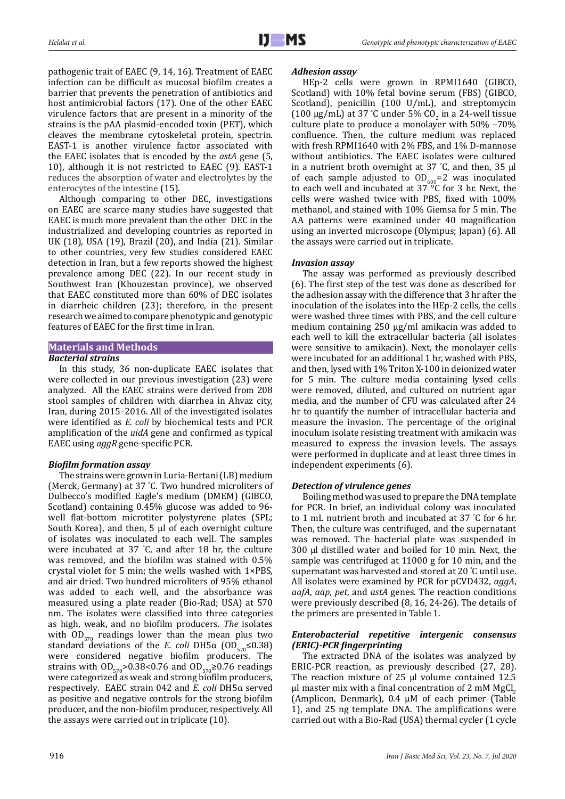pathogenic trait of EAEC (9, 14, 16). Treatment of EAEC infection can be difficult as mucosal biofilm creates a barrier that prevents the penetration of antibiotics and host antimicrobial factors (17). One of the other EAEC virulence factors that are present in a minority of the strains is the pAA plasmid-encoded toxin (PET), which cleaves the membrane cytoskeletal protein, spectrin. EAST-1 is another virulence factor associated with the EAEC isolates that is encoded by the *astA* gene (5, 10), although it is not restricted to EAEC (9). EAST-1 reduces the absorption of water and electrolytes by the enterocytes of the intestine (15).

Although comparing to other DEC, investigations on EAEC are scarce many studies have suggested that EAEC is much more prevalent than the other DEC in the industrialized and developing countries as reported in UK (18), USA (19), Brazil (20), and India (21). Similar to other countries, very few studies considered EAEC detection in Iran, but a few reports showed the highest prevalence among DEC (22). In our recent study in Southwest Iran (Khouzestan province), we observed that EAEC constituted more than 60% of DEC isolates in diarrheic children (23); therefore, in the present research we aimed to compare phenotypic and genotypic features of EAEC for the first time in Iran.

# **Materials and Methods**

# *Bacterial strains*

In this study, 36 non-duplicate EAEC isolates that were collected in our previous investigation (23) were analyzed. All the EAEC strains were derived from 208 stool samples of children with diarrhea in Ahvaz city, Iran, during 2015–2016. All of the investigated isolates were identified as *E. coli* by biochemical tests and PCR amplification of the *uidA* gene and confirmed as typical EAEC using *aggR* gene-specific PCR.

# *Biofilm formation assay*

The strains were grown in Luria-Bertani (LB) medium (Merck, Germany) at 37 ° C. Two hundred microliters of Dulbecco's modified Eagle's medium (DMEM) (GIBCO, Scotland) containing 0.45% glucose was added to 96 well flat-bottom microtiter polystyrene plates (SPL; South Korea), and then, 5 μl of each overnight culture of isolates was inoculated to each well. The samples were incubated at 37 ° C, and after 18 hr, the culture was removed, and the biofilm was stained with 0.5% crystal violet for 5 min; the wells washed with 1×PBS, and air dried. Two hundred microliters of 95% ethanol was added to each well, and the absorbance was measured using a plate reader (Bio-Rad; USA) at 570 nm. The isolates were classified into three categories as high, weak, and no biofilm producers. *The* isolates with  $OD_{570}$  readings lower than the mean plus two standard deviations of the *E. coli* DH5 $\alpha$  (OD<sub>570</sub>≤0.38) were considered negative biofilm producers. The strains with  $OD_{570}$ >0.38<0.76 and  $OD_{570}$ ≥0.76 readings were categorized as weak and strong biofilm producers, respectively. EAEC strain 042 and *E. coli* DH5α served as positive and negative controls for the strong biofilm producer, and the non-biofilm producer, respectively. All the assays were carried out in triplicate (10).

### *Adhesion assay*

HEp-2 cells were grown in RPMI1640 (GIBCO, Scotland) with 10% fetal bovine serum (FBS) (GIBCO, Scotland), penicillin (100 U/mL), and streptomycin (100  $\mu$ g/mL) at 37 °C under 5% CO<sub>2</sub> in a 24-well tissue culture plate to produce a monolayer with 50% –70% confluence. Then, the culture medium was replaced with fresh RPMI1640 with 2% FBS, and 1% D-mannose without antibiotics. The EAEC isolates were cultured in a nutrient broth overnight at 37 ° C, and then, 35 µl of each sample adjusted to  $OD_{600} = 2$  was inoculated to each well and incubated at 37 °C for 3 hr. Next, the cells were washed twice with PBS, fixed with 100% methanol, and stained with 10% Giemsa for 5 min. The AA patterns were examined under 40 magnification using an inverted microscope (Olympus; Japan) (6). All the assays were carried out in triplicate.

# *Invasion assay*

The assay was performed as previously described (6). The first step of the test was done as described for the adhesion assay with the difference that 3 hr after the inoculation of the isolates into the HEp-2 cells, the cells were washed three times with PBS, and the cell culture medium containing 250 μg/ml amikacin was added to each well to kill the extracellular bacteria (all isolates were sensitive to amikacin). Next, the monolayer cells were incubated for an additional 1 hr, washed with PBS, and then, lysed with 1% Triton X-100 in deionized water for 5 min. The culture media containing lysed cells were removed, diluted, and cultured on nutrient agar media, and the number of CFU was calculated after 24 hr to quantify the number of intracellular bacteria and measure the invasion. The percentage of the original inoculum isolate resisting treatment with amikacin was measured to express the invasion levels. The assays were performed in duplicate and at least three times in independent experiments (6).

# *Detection of virulence genes*

Boiling method was used to prepare the DNA template for PCR. In brief, an individual colony was inoculated to 1 mL nutrient broth and incubated at 37 ° C for 6 hr. Then, the culture was centrifuged, and the supernatant was removed. The bacterial plate was suspended in 300 µl distilled water and boiled for 10 min. Next, the sample was centrifuged at 11000 g for 10 min, and the supernatant was harvested and stored at 20 ° C until use. All isolates were examined by PCR for pCVD432, *aggA*, *aafA*, *aap*, *pet*, and *astA* genes. The reaction conditions were previously described (8, 16, 24-26). The details of the primers are presented in Table 1.

# *Enterobacterial repetitive intergenic consensus (ERIC)-PCR fingerprinting*

The extracted DNA of the isolates was analyzed by ERIC-PCR reaction, as previously described (27, 28). The reaction mixture of 25 μl volume contained 12.5 μl master mix with a final concentration of 2 mM  $MgCl$ <sub>2</sub> (Amplicon, Denmark), 0.4 μM of each primer (Table 1), and 25 ng template DNA. The amplifications were carried out with a Bio-Rad (USA) thermal cycler (1 cycle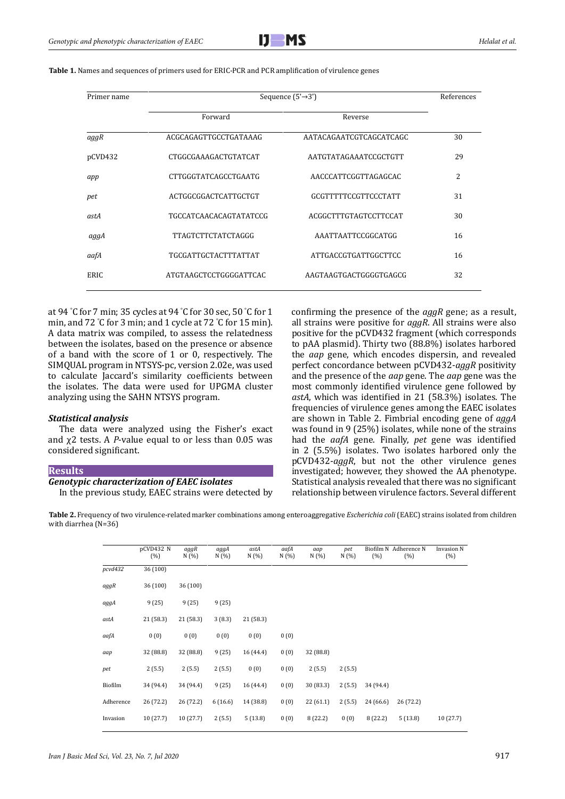

| Primer name | Sequence $(5' \rightarrow 3')$ | References              |    |
|-------------|--------------------------------|-------------------------|----|
|             | Forward                        | Reverse                 |    |
| aggR        | ACGCAGAGTTGCCTGATAAAG          | AATACAGAATCGTCAGCATCAGC | 30 |
| pCVD432     | CTGGCGAAAGACTGTATCAT           | AATGTATAGAAATCCGCTGTT   | 29 |
| app         | CTTGGGTATCAGCCTGAATG           | AACCCATTCGGTTAGAGCAC    | 2  |
| pet         | ACTGGCGGACTCATTGCTGT           | GCGTTTTTCCGTTCCCTATT    | 31 |
| astA        | TGCCATCAACACAGTATATCCG         | ACGGCTTTGTAGTCCTTCCAT   | 30 |
| aggA        | TTAGTCTTCTATCTAGGG             | AAATTAATTCCGGCATGG      | 16 |
| aafA        | TGCGATTGCTACTTTATTAT           | ATTGACCGTGATTGGCTTCC    | 16 |
| ERIC        | ATGTAAGCTCCTGGGGATTCAC         | AAGTAAGTGACTGGGGTGAGCG  | 32 |

**Table 1.** Names and sequences of primers used for ERIC-PCR and PCR amplification of virulence genes

at 94 ° C for 7 min; 35 cycles at 94 ° C for 30 sec, 50 ° C for 1 min, and 72 ° C for 3 min; and 1 cycle at 72 ° C for 15 min). A data matrix was compiled, to assess the relatedness between the isolates, based on the presence or absence of a band with the score of 1 or 0, respectively. The SIMQUAL program in NTSYS-pc, version 2.02e, was used to calculate Jaccard's similarity coefficients between the isolates. The data were used for UPGMA cluster analyzing using the SAHN NTSYS program.

#### *Statistical analysis*

The data were analyzed using the Fisher's exact and χ2 tests. A *P*-value equal to or less than 0.05 was considered significant.

#### **Results**

# *Genotypic characterization of EAEC isolates*

In the previous study, EAEC strains were detected by

confirming the presence of the *aggR* gene; as a result, all strains were positive for *aggR*. All strains were also positive for the pCVD432 fragment (which corresponds to pAA plasmid). Thirty two (88.8%) isolates harbored the *aap* gene, which encodes dispersin, and revealed perfect concordance between pCVD432-*aggR* positivity and the presence of the *aap* gene. The *aap* gene was the most commonly identified virulence gene followed by *astA*, which was identified in 21 (58.3%) isolates. The frequencies of virulence genes among the EAEC isolates are shown in Table 2. Fimbrial encoding gene of *aggA* was found in 9 (25%) isolates, while none of the strains had the *aafA* gene. Finally, *pet* gene was identified in 2 (5.5%) isolates. Two isolates harbored only the pCVD432-*aggR*, but not the other virulence genes investigated; however, they showed the AA phenotype. Statistical analysis revealed that there was no significant relationship between virulence factors. Several different

**Table 2.** Frequency of two virulence-related marker combinations among enteroaggregative *Escherichia coli* (EAEC) strains isolated from children with diarrhea (N=36)

|           | pCVD432 N<br>(% ) | aggR<br>N(%) | aggA<br>N(%) | astA<br>N(%) | aafA<br>N(%) | aap<br>N(%) | pet<br>N(%) | Biofilm N<br>(% ) | Adherence N<br>(%) | <b>Invasion N</b><br>(% ) |
|-----------|-------------------|--------------|--------------|--------------|--------------|-------------|-------------|-------------------|--------------------|---------------------------|
| pcvd432   | 36 (100)          |              |              |              |              |             |             |                   |                    |                           |
| aggR      | 36 (100)          | 36 (100)     |              |              |              |             |             |                   |                    |                           |
| aggA      | 9(25)             | 9(25)        | 9(25)        |              |              |             |             |                   |                    |                           |
| astA      | 21 (58.3)         | 21 (58.3)    | 3(8.3)       | 21 (58.3)    |              |             |             |                   |                    |                           |
| aafA      | 0(0)              | 0(0)         | 0(0)         | 0(0)         | 0(0)         |             |             |                   |                    |                           |
| aap       | 32 (88.8)         | 32 (88.8)    | 9(25)        | 16 (44.4)    | 0(0)         | 32 (88.8)   |             |                   |                    |                           |
| pet       | 2(5.5)            | 2(5.5)       | 2(5.5)       | 0(0)         | 0(0)         | 2(5.5)      | 2(5.5)      |                   |                    |                           |
| Biofilm   | 34 (94.4)         | 34 (94.4)    | 9(25)        | 16 (44.4)    | 0(0)         | 30 (83.3)   | 2(5.5)      | 34 (94.4)         |                    |                           |
| Adherence | 26 (72.2)         | 26 (72.2)    | 6(16.6)      | 14 (38.8)    | 0(0)         | 22 (61.1)   | 2(5.5)      | 24 (66.6)         | 26 (72.2)          |                           |
| Invasion  | 10(27.7)          | 10(27.7)     | 2(5.5)       | 5(13.8)      | 0(0)         | 8(22.2)     | 0(0)        | 8(22.2)           | 5(13.8)            | 10 (27.7)                 |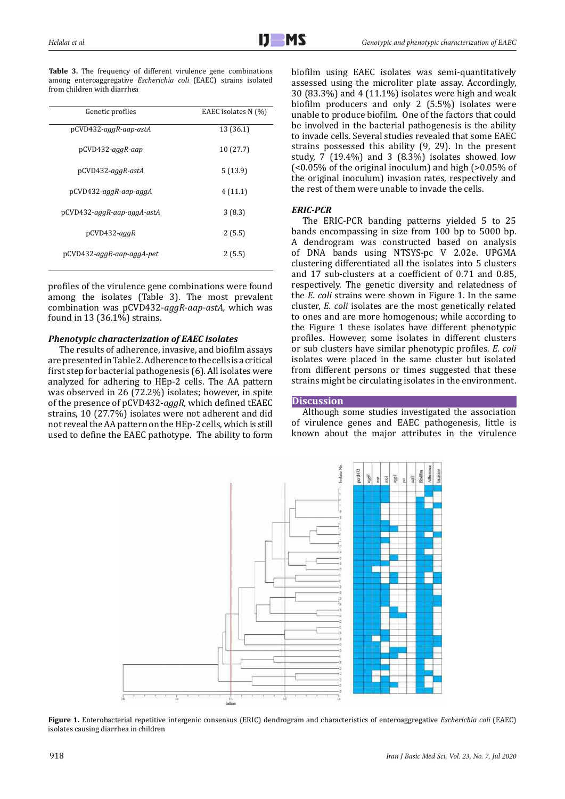|  | <b>Table 3.</b> The frequency of different virulence gene combinations  |  |  |  |  |
|--|-------------------------------------------------------------------------|--|--|--|--|
|  | among enteroaggregative <i>Escherichia coli</i> (EAEC) strains isolated |  |  |  |  |
|  | from children with diarrhea                                             |  |  |  |  |

| Genetic profiles           | EAEC isolates N (%) |  |  |  |
|----------------------------|---------------------|--|--|--|
| pCVD432-aggR-aap-astA      | 13 (36.1)           |  |  |  |
| pCVD432-aggR-aap           | 10(27.7)            |  |  |  |
| pCVD432-aggR-astA          | 5(13.9)             |  |  |  |
| pCVD432-aggR-aap-aggA      | 4(11.1)             |  |  |  |
| pCVD432-aggR-aap-aggA-astA | 3(8.3)              |  |  |  |
| pCVD432-aggR               | 2(5.5)              |  |  |  |
| pCVD432-aggR-aap-aggA-pet  | 2(5.5)              |  |  |  |
|                            |                     |  |  |  |

profiles of the virulence gene combinations were found among the isolates (Table 3). The most prevalent combination was pCVD432-*aggR*-*aap-astA,* which was found in 13 (36.1%) strains.

# *Phenotypic characterization of EAEC isolates*

The results of adherence, invasive, and biofilm assays are presented in Table 2. Adherence to the cells is a critical first step for bacterial pathogenesis (6). All isolates were analyzed for adhering to HEp-2 cells. The AA pattern was observed in 26 (72.2%) isolates; however, in spite of the presence of pCVD432-*aggR*, which defined tEAEC strains, 10 (27.7%) isolates were not adherent and did not reveal the AA pattern on the HEp-2 cells, which is still used to define the EAEC pathotype. The ability to form biofilm using EAEC isolates was semi-quantitatively assessed using the microliter plate assay. Accordingly, 30 (83.3%) and 4 (11.1%) isolates were high and weak biofilm producers and only 2 (5.5%) isolates were unable to produce biofilm. One of the factors that could be involved in the bacterial pathogenesis is the ability to invade cells. Several studies revealed that some EAEC strains possessed this ability (9, 29). In the present study, 7 (19.4%) and 3 (8.3%) isolates showed low (<0.05% of the original inoculum) and high (>0.05% of the original inoculum) invasion rates, respectively and the rest of them were unable to invade the cells.

# *ERIC-PCR*

The ERIC-PCR banding patterns yielded 5 to 25 bands encompassing in size from 100 bp to 5000 bp. A dendrogram was constructed based on analysis of DNA bands using NTSYS-pc V 2.02e. UPGMA clustering differentiated all the isolates into 5 clusters and 17 sub-clusters at a coefficient of 0.71 and 0.85, respectively. The genetic diversity and relatedness of the *E. coli* strains were shown in Figure 1. In the same cluster, *E. coli* isolates are the most genetically related to ones and are more homogenous; while according to the Figure 1 these isolates have different phenotypic profiles. However, some isolates in different clusters or sub clusters have similar phenotypic profiles. *E. coli*  isolates were placed in the same cluster but isolated from different persons or times suggested that these strains might be circulating isolates in the environment.

# **Discussion**

Although some studies investigated the association of virulence genes and EAEC pathogenesis, little is known about the major attributes in the virulence



**Figure 1.** Enterobacterial repetitive intergenic consensus (ERIC) dendrogram and characteristics of enteroaggregative *Escherichia coli* (EAEC) isolates causing diarrhea in children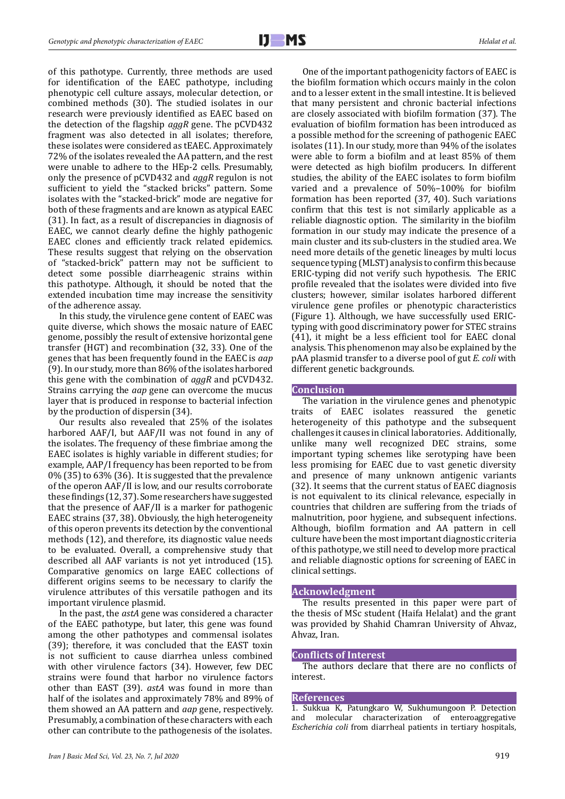of this pathotype. Currently, three methods are used for identification of the EAEC pathotype, including phenotypic cell culture assays, molecular detection, or combined methods (30). The studied isolates in our research were previously identified as EAEC based on the detection of the flagship *aggR* gene. The pCVD432 fragment was also detected in all isolates; therefore, these isolates were considered as tEAEC. Approximately 72% of the isolates revealed the AA pattern, and the rest were unable to adhere to the HEp-2 cells. Presumably, only the presence of pCVD432 and *aggR* regulon is not sufficient to yield the "stacked bricks" pattern. Some isolates with the "stacked-brick" mode are negative for both of these fragments and are known as atypical EAEC (31). In fact, as a result of discrepancies in diagnosis of EAEC, we cannot clearly define the highly pathogenic EAEC clones and efficiently track related epidemics. These results suggest that relying on the observation of "stacked-brick" pattern may not be sufficient to detect some possible diarrheagenic strains within this pathotype. Although, it should be noted that the extended incubation time may increase the sensitivity of the adherence assay.

In this study, the virulence gene content of EAEC was quite diverse, which shows the mosaic nature of EAEC genome, possibly the result of extensive horizontal gene transfer (HGT) and recombination (32, 33). One of the genes that has been frequently found in the EAEC is *aap* (9). In our study, more than 86% of the isolates harbored this gene with the combination of *aggR* and pCVD432. Strains carrying the *aap* gene can overcome the mucus layer that is produced in response to bacterial infection by the production of dispersin (34).

Our results also revealed that 25% of the isolates harbored AAF/I, but AAF/II was not found in any of the isolates. The frequency of these fimbriae among the EAEC isolates is highly variable in different studies; for example, AAP/I frequency has been reported to be from 0% (35) to 63% (36). It is suggested that the prevalence of the operon AAF/II is low, and our results corroborate these findings (12, 37). Some researchers have suggested that the presence of AAF/II is a marker for pathogenic EAEC strains (37, 38). Obviously, the high heterogeneity of this operon prevents its detection by the conventional methods (12), and therefore, its diagnostic value needs to be evaluated. Overall, a comprehensive study that described all AAF variants is not yet introduced (15). Comparative genomics on large EAEC collections of different origins seems to be necessary to clarify the virulence attributes of this versatile pathogen and its important virulence plasmid.

In the past, the *astA* gene was considered a character of the EAEC pathotype, but later, this gene was found among the other pathotypes and commensal isolates (39); therefore, it was concluded that the EAST toxin is not sufficient to cause diarrhea unless combined with other virulence factors (34). However, few DEC strains were found that harbor no virulence factors other than EAST (39). *astA* was found in more than half of the isolates and approximately 78% and 89% of them showed an AA pattern and *aap* gene, respectively. Presumably, a combination of these characters with each other can contribute to the pathogenesis of the isolates.

One of the important pathogenicity factors of EAEC is the biofilm formation which occurs mainly in the colon and to a lesser extent in the small intestine. It is believed that many persistent and chronic bacterial infections are closely associated with biofilm formation (37). The evaluation of biofilm formation has been introduced as a possible method for the screening of pathogenic EAEC isolates (11). In our study, more than 94% of the isolates were able to form a biofilm and at least 85% of them were detected as high biofilm producers. In different studies, the ability of the EAEC isolates to form biofilm varied and a prevalence of 50%–100% for biofilm formation has been reported (37, 40). Such variations confirm that this test is not similarly applicable as a reliable diagnostic option. The similarity in the biofilm formation in our study may indicate the presence of a main cluster and its sub-clusters in the studied area. We need more details of the genetic lineages by multi locus sequence typing (MLST) analysis to confirm this because ERIC-typing did not verify such hypothesis. The ERIC profile revealed that the isolates were divided into five clusters; however, similar isolates harbored different virulence gene profiles or phenotypic characteristics (Figure 1). Although, we have successfully used ERICtyping with good discriminatory power for STEC strains (41), it might be a less efficient tool for EAEC clonal analysis. This phenomenon may also be explained by the pAA plasmid transfer to a diverse pool of gut *E. coli* with different genetic backgrounds.

#### **Conclusion**

The variation in the virulence genes and phenotypic traits of EAEC isolates reassured the genetic heterogeneity of this pathotype and the subsequent challenges it causes in clinical laboratories. Additionally, unlike many well recognized DEC strains, some important typing schemes like serotyping have been less promising for EAEC due to vast genetic diversity and presence of many unknown antigenic variants (32). It seems that the current status of EAEC diagnosis is not equivalent to its clinical relevance, especially in countries that children are suffering from the triads of malnutrition, poor hygiene, and subsequent infections. Although, biofilm formation and AA pattern in cell culture have been the most important diagnostic criteria of this pathotype, we still need to develop more practical and reliable diagnostic options for screening of EAEC in clinical settings.

#### **Acknowledgment**

The results presented in this paper were part of the thesis of MSc student (Haifa Helalat) and the grant was provided by Shahid Chamran University of Ahvaz, Ahvaz, Iran.

#### **Conflicts of Interest**

The authors declare that there are no conflicts of interest.

#### **References**

1. Sukkua K, Patungkaro W, Sukhumungoon P. Detection and molecular characterization of enteroaggregative *Escherichia coli* from diarrheal patients in tertiary hospitals,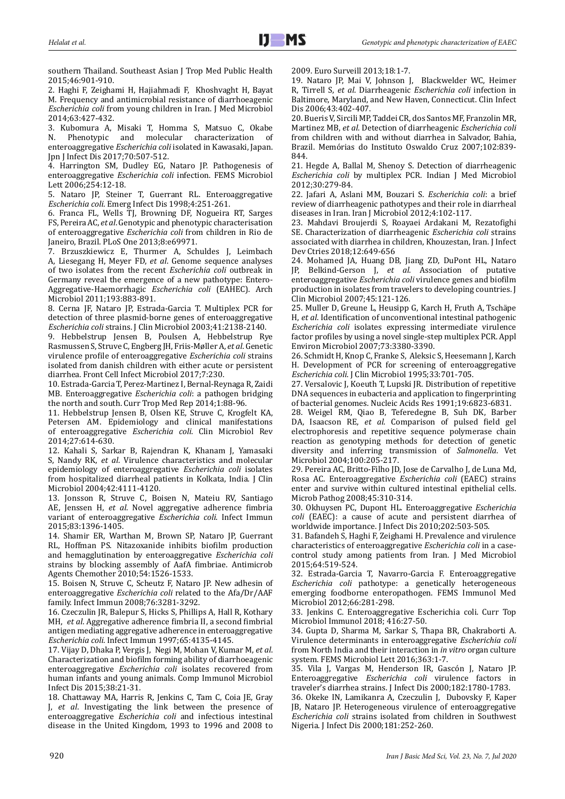southern Thailand. Southeast Asian J Trop Med Public Health 2015;46:901-910.

2. Haghi F, Zeighami H, Hajiahmadi F, [Khoshvaght H](https://www.ncbi.nlm.nih.gov/pubmed/?term=Khoshvaght%20H%5BAuthor%5D&cauthor=true&cauthor_uid=24281909), [Bayat](https://www.ncbi.nlm.nih.gov/pubmed/?term=Bayat%20M%5BAuthor%5D&cauthor=true&cauthor_uid=24281909)  [M](https://www.ncbi.nlm.nih.gov/pubmed/?term=Bayat%20M%5BAuthor%5D&cauthor=true&cauthor_uid=24281909). Frequency and antimicrobial resistance of diarrhoeagenic *Escherichia coli* from young children in Iran. J Med Microbiol 2014;63:427-432.

3. Kubomura A, Misaki T, Homma S, Matsuo C, Okabe N. Phenotypic and molecular characterization of enteroaggregative *Escherichia coli* isolated in Kawasaki, Japan. Jpn J Infect Dis 2017;70:507-512.

4. Harrington SM, Dudley EG, Nataro JP. Pathogenesis of enteroaggregative *Escherichia coli* infection. FEMS Microbiol Lett 2006;254:12-18.

5. Nataro JP, Steiner T, Guerrant RL. Enteroaggregative *Escherichia coli*. Emerg Infect Dis 1998;4:251-261.

6. Franca FL, Wells TJ, Browning DF, [Nogueira RT](https://www.ncbi.nlm.nih.gov/pubmed/?term=Nogueira%20RT%5BAuthor%5D&cauthor=true&cauthor_uid=23936127), [Sarges](https://www.ncbi.nlm.nih.gov/pubmed/?term=Sarges%20FS%5BAuthor%5D&cauthor=true&cauthor_uid=23936127)  [FS](https://www.ncbi.nlm.nih.gov/pubmed/?term=Sarges%20FS%5BAuthor%5D&cauthor=true&cauthor_uid=23936127), [Pereira AC](https://www.ncbi.nlm.nih.gov/pubmed/?term=Pereira%20AC%5BAuthor%5D&cauthor=true&cauthor_uid=23936127), *et al*. Genotypic and phenotypic characterisation of enteroaggregative *Escherichia coli* from children in Rio de Janeiro, Brazil. PLoS One 2013;8:e69971.

7. Brzuszkiewicz E, Thurmer A, Schuldes J, [Leimbach](https://www.ncbi.nlm.nih.gov/pubmed/?term=Leimbach%20A%5BAuthor%5D&cauthor=true&cauthor_uid=21713444)  [A,](https://www.ncbi.nlm.nih.gov/pubmed/?term=Leimbach%20A%5BAuthor%5D&cauthor=true&cauthor_uid=21713444) [Liesegang H,](https://www.ncbi.nlm.nih.gov/pubmed/?term=Liesegang%20H%5BAuthor%5D&cauthor=true&cauthor_uid=21713444) [Meyer FD,](https://www.ncbi.nlm.nih.gov/pubmed/?term=Meyer%20FD%5BAuthor%5D&cauthor=true&cauthor_uid=21713444) *et al*. Genome sequence analyses of two isolates from the recent *Escherichia coli* outbreak in Germany reveal the emergence of a new pathotype: Entero-Aggregative-Haemorrhagic *Escherichia coli* (EAHEC). Arch Microbiol 2011;193:883-891.

8. Cerna JF, Nataro JP, Estrada-Garcia T. Multiplex PCR for detection of three plasmid-borne genes of enteroaggregative *Escherichia coli* strains. J Clin Microbiol 2003;41:2138-2140.

9. Hebbelstrup Jensen B, Poulsen A, Hebbelstrup Rye Rasmussen S, [Struve C,](https://www.ncbi.nlm.nih.gov/pubmed/?term=Struve%20C%5BAuthor%5D&cauthor=true&cauthor_uid=28611957) [Engberg JH,](https://www.ncbi.nlm.nih.gov/pubmed/?term=Engberg%20JH%5BAuthor%5D&cauthor=true&cauthor_uid=28611957) [Friis-Møller A](https://www.ncbi.nlm.nih.gov/pubmed/?term=Friis-M%C3%B8ller%20A%5BAuthor%5D&cauthor=true&cauthor_uid=28611957), *et al*. Genetic virulence profile of enteroaggregative *Escherichia coli* strains isolated from danish children with either acute or persistent diarrhea. Front Cell Infect Microbiol 2017;7:230.

10. Estrada-Garcia T, Perez-Martinez I, Bernal-Reynaga R, [Zaidi](https://www.ncbi.nlm.nih.gov/pubmed/?term=Zaidi%20MB%5BAuthor%5D&cauthor=true&cauthor_uid=24892007)  [MB.](https://www.ncbi.nlm.nih.gov/pubmed/?term=Zaidi%20MB%5BAuthor%5D&cauthor=true&cauthor_uid=24892007) Enteroaggregative *Escherichia coli*: a pathogen bridging the north and south. Curr Trop Med Rep 2014;1:88-96.

11. Hebbelstrup Jensen B, Olsen KE, Struve C, Krogfelt KA, Petersen AM. Epidemiology and clinical manifestations of enteroaggregative *Escherichia coli*. Clin Microbiol Rev 2014;27:614-630.

12. Kahali S, Sarkar B, Rajendran K, [Khanam J](https://www.ncbi.nlm.nih.gov/pubmed/?term=Khanam%20J%5BAuthor%5D&cauthor=true&cauthor_uid=15364997), [Yamasaki](https://www.ncbi.nlm.nih.gov/pubmed/?term=Yamasaki%20S%5BAuthor%5D&cauthor=true&cauthor_uid=15364997)  [S](https://www.ncbi.nlm.nih.gov/pubmed/?term=Yamasaki%20S%5BAuthor%5D&cauthor=true&cauthor_uid=15364997), [Nandy RK](https://www.ncbi.nlm.nih.gov/pubmed/?term=Nandy%20RK%5BAuthor%5D&cauthor=true&cauthor_uid=15364997), *et al*. Virulence characteristics and molecular epidemiology of enteroaggregative *Escherichia coli* isolates from hospitalized diarrheal patients in Kolkata, India. J Clin Microbiol 2004;42:4111-4120.

13. Jonsson R, Struve C, Boisen N, Mateiu RV, Santiago AE, Jenssen H, *et al*. Novel aggregative adherence fimbria variant of enteroaggregative *Escherichia coli*. Infect Immun 2015;83:1396-1405.

14. Shamir ER, Warthan M, Brown SP, [Nataro JP](https://www.ncbi.nlm.nih.gov/pubmed/?term=Nataro%20JP%5BAuthor%5D&cauthor=true&cauthor_uid=20086145), [Guerrant](https://www.ncbi.nlm.nih.gov/pubmed/?term=Guerrant%20RL%5BAuthor%5D&cauthor=true&cauthor_uid=20086145)  [RL](https://www.ncbi.nlm.nih.gov/pubmed/?term=Guerrant%20RL%5BAuthor%5D&cauthor=true&cauthor_uid=20086145), [Hoffman PS](https://www.ncbi.nlm.nih.gov/pubmed/?term=Hoffman%20PS%5BAuthor%5D&cauthor=true&cauthor_uid=20086145). Nitazoxanide inhibits biofilm production and hemagglutination by enteroaggregative *Escherichia coli* strains by blocking assembly of AafA fimbriae. Antimicrob Agents Chemother 2010;54:1526-1533.

15. Boisen N, Struve C, Scheutz F, [Nataro JP.](https://www.ncbi.nlm.nih.gov/pubmed/?term=Nataro%20JP%5BAuthor%5D&cauthor=true&cauthor_uid=18443096) New adhesin of enteroaggregative *Escherichia coli* related to the Afa/Dr/AAF family. Infect Immun 2008;76:3281-3292.

16. Czeczulin JR, Balepur S, Hicks S, [Phillips A,](https://www.ncbi.nlm.nih.gov/pubmed/?term=Phillips%20A%5BAuthor%5D&cauthor=true&cauthor_uid=9317019) [Hall R,](https://www.ncbi.nlm.nih.gov/pubmed/?term=Hall%20R%5BAuthor%5D&cauthor=true&cauthor_uid=9317019) [Kothary](https://www.ncbi.nlm.nih.gov/pubmed/?term=Kothary%20MH%5BAuthor%5D&cauthor=true&cauthor_uid=9317019)  [MH,](https://www.ncbi.nlm.nih.gov/pubmed/?term=Kothary%20MH%5BAuthor%5D&cauthor=true&cauthor_uid=9317019) *et al*. Aggregative adherence fimbria II, a second fimbrial antigen mediating aggregative adherence in enteroaggregative *Escherichia coli*. Infect Immun 1997;65:4135-4145.

17. Vijay D, Dhaka P, Vergis J, [Negi M](https://www.ncbi.nlm.nih.gov/pubmed/?term=Negi%20M%5BAuthor%5D&cauthor=true&cauthor_uid=25529123), [Mohan V,](https://www.ncbi.nlm.nih.gov/pubmed/?term=Mohan%20V%5BAuthor%5D&cauthor=true&cauthor_uid=25529123) [Kumar M,](https://www.ncbi.nlm.nih.gov/pubmed/?term=Kumar%20M%5BAuthor%5D&cauthor=true&cauthor_uid=25529123) *et al*. Characterization and biofilm forming ability of diarrhoeagenic enteroaggregative *Escherichia coli* isolates recovered from human infants and young animals. Comp Immunol Microbiol Infect Dis 2015;38:21-31.

18. Chattaway MA, Harris R, Jenkins C, [Tam C,](https://www.ncbi.nlm.nih.gov/pubmed/?term=Tam%20C%5BAuthor%5D&cauthor=true&cauthor_uid=24079400) [Coia JE,](https://www.ncbi.nlm.nih.gov/pubmed/?term=Coia%20JE%5BAuthor%5D&cauthor=true&cauthor_uid=24079400) [Gray](https://www.ncbi.nlm.nih.gov/pubmed/?term=Gray%20J%5BAuthor%5D&cauthor=true&cauthor_uid=24079400)  [J,](https://www.ncbi.nlm.nih.gov/pubmed/?term=Gray%20J%5BAuthor%5D&cauthor=true&cauthor_uid=24079400) *et al*. Investigating the link between the presence of enteroaggregative *Escherichia coli* and infectious intestinal disease in the United Kingdom, 1993 to 1996 and 2008 to

2009. Euro Surveill 2013;18:1-7.

19. Nataro JP, Mai V, Johnson J, [Blackwelder WC,](https://www.ncbi.nlm.nih.gov/pubmed/?term=Blackwelder%20WC%5BAuthor%5D&cauthor=true&cauthor_uid=16838226) [Heimer](https://www.ncbi.nlm.nih.gov/pubmed/?term=Heimer%20R%5BAuthor%5D&cauthor=true&cauthor_uid=16838226) [R](https://www.ncbi.nlm.nih.gov/pubmed/?term=Heimer%20R%5BAuthor%5D&cauthor=true&cauthor_uid=16838226), [Tirrell S,](https://www.ncbi.nlm.nih.gov/pubmed/?term=Tirrell%20S%5BAuthor%5D&cauthor=true&cauthor_uid=16838226) *et al*. Diarrheagenic *Escherichia coli* infection in Baltimore, Maryland, and New Haven, Connecticut. Clin Infect Dis 2006;43:402-407.

20. Bueris V, Sircili MP, Taddei CR, dos Santos MF, Franzolin MR, Martinez MB, *et al*. Detection of diarrheagenic *Escherichia coli* from children with and without diarrhea in Salvador, Bahia, Brazil. [Memórias do Instituto Oswaldo Cruz](https://en.wikipedia.org/wiki/Mem%C3%B3rias_do_Instituto_Oswaldo_Cruz) 2007;102:839- 844.

21. Hegde A, Ballal M, Shenoy S. Detection of diarrheagenic *Escherichia coli* by multiplex PCR. Indian J Med Microbiol 2012;30:279-84.

22. Jafari A, Aslani MM, Bouzari S. *Escherichia coli*: a brief review of diarrheagenic pathotypes and their role in diarrheal diseases in Iran. Iran J Microbiol 2012;4:102-117.

23. Mahdavi Broujerdi S, Roayaei Ardakani M, Rezatofighi SE. [Characterization of diarrheagenic](file:///C:/Users/nasirlin2/Desktop/9959/javascript:void(0)) *Escherichia coli* strains [associated with diarrhea in children, Khouzestan, Iran.](file:///C:/Users/nasirlin2/Desktop/9959/javascript:void(0)) J Infect Dev Ctries 2018;12:649-656

24. Mohamed JA, Huang DB, Jiang ZD, [DuPont HL,](https://www.ncbi.nlm.nih.gov/pubmed/?term=DuPont%20HL%5BAuthor%5D&cauthor=true&cauthor_uid=17093030) [Nataro](https://www.ncbi.nlm.nih.gov/pubmed/?term=Nataro%20JP%5BAuthor%5D&cauthor=true&cauthor_uid=17093030)<br>IP. Belkind-Gerson I. *et al.* Association of putative [Belkind-Gerson J](https://www.ncbi.nlm.nih.gov/pubmed/?term=Belkind-Gerson%20J%5BAuthor%5D&cauthor=true&cauthor_uid=17093030), et al. Association of putative enteroaggregative *Escherichia coli* virulence genes and biofilm production in isolates from travelers to developing countries. J Clin Microbiol 2007;45:121-126.

25. Muller D, Greune L, Heusipp G, [Karch H,](https://www.ncbi.nlm.nih.gov/pubmed/?term=Karch%20H%5BAuthor%5D&cauthor=true&cauthor_uid=17400780) [Fruth A,](https://www.ncbi.nlm.nih.gov/pubmed/?term=Fruth%20A%5BAuthor%5D&cauthor=true&cauthor_uid=17400780) [Tschäpe](https://www.ncbi.nlm.nih.gov/pubmed/?term=Tsch%C3%A4pe%20H%5BAuthor%5D&cauthor=true&cauthor_uid=17400780) [H,](https://www.ncbi.nlm.nih.gov/pubmed/?term=Tsch%C3%A4pe%20H%5BAuthor%5D&cauthor=true&cauthor_uid=17400780) *et al*. Identification of unconventional intestinal pathogenic *Escherichia coli* isolates expressing intermediate virulence factor profiles by using a novel single-step multiplex PCR. Appl Environ Microbiol 2007;73:3380-3390.

26. Schmidt H, Knop C, Franke S, [Aleksic S](https://www.ncbi.nlm.nih.gov/pubmed/?term=Aleksic%20S%5BAuthor%5D&cauthor=true&cauthor_uid=7751380), [Heesemann J](https://www.ncbi.nlm.nih.gov/pubmed/?term=Heesemann%20J%5BAuthor%5D&cauthor=true&cauthor_uid=7751380), [Karch](https://www.ncbi.nlm.nih.gov/pubmed/?term=Karch%20H%5BAuthor%5D&cauthor=true&cauthor_uid=7751380) [H.](https://www.ncbi.nlm.nih.gov/pubmed/?term=Karch%20H%5BAuthor%5D&cauthor=true&cauthor_uid=7751380) Development of PCR for screening of enteroaggregative *Escherichia coli*. J Clin Microbiol 1995;33:701-705.

27. Versalovic J, Koeuth T, Lupski JR. Distribution of repetitive DNA sequences in eubacteria and application to fingerprinting of bacterial genomes. Nucleic Acids Res 1991;19:6823-6831.

28. Weigel RM, Qiao B, Teferedegne B, [Suh DK](https://www.ncbi.nlm.nih.gov/pubmed/?term=Suh%20DK%5BAuthor%5D&cauthor=true&cauthor_uid=15145499), [Barber](https://www.ncbi.nlm.nih.gov/pubmed/?term=Barber%20DA%5BAuthor%5D&cauthor=true&cauthor_uid=15145499) [DA,](https://www.ncbi.nlm.nih.gov/pubmed/?term=Barber%20DA%5BAuthor%5D&cauthor=true&cauthor_uid=15145499) [Isaacson RE,](https://www.ncbi.nlm.nih.gov/pubmed/?term=Isaacson%20RE%5BAuthor%5D&cauthor=true&cauthor_uid=15145499) *et al*. Comparison of pulsed field gel electrophoresis and repetitive sequence polymerase chain reaction as genotyping methods for detection of genetic diversity and inferring transmission of *Salmonella*. Vet Microbiol 2004;100:205-217.

29. Pereira AC, Britto-Filho JD, Jose de Carvalho J, de Luna Md, Rosa AC. Enteroaggregative *Escherichia coli* (EAEC) strains enter and survive within cultured intestinal epithelial cells. Microb Pathog 2008;45:310-314.

30. Okhuysen PC, Dupont HL. Enteroaggregative *Escherichia coli* (EAEC): a cause of acute and persistent diarrhea of worldwide importance. J Infect Dis 2010;202:503-505.

31. Bafandeh S, Haghi F, Zeighami H. Prevalence and virulence characteristics of enteroaggregative *Escherichia coli* in a casecontrol study among patients from Iran. J Med Microbiol 2015;64:519-524.

32. Estrada-Garcia T, Navarro-Garcia F. Enteroaggregative *Escherichia coli* pathotype: a genetically heterogeneous emerging foodborne enteropathogen. FEMS Immunol Med Microbiol 2012;66:281-298.

33. Jenkins C. Enteroaggregative Escherichia coli. Curr Top Microbiol Immunol 2018; 416:27-50.

34. Gupta D, Sharma M, Sarkar S, [Thapa BR](https://www.ncbi.nlm.nih.gov/pubmed/?term=Thapa%20BR%5BAuthor%5D&cauthor=true&cauthor_uid=27493010), [Chakraborti A](https://www.ncbi.nlm.nih.gov/pubmed/?term=Chakraborti%20A%5BAuthor%5D&cauthor=true&cauthor_uid=27493010). Virulence determinants in enteroaggregative *Escherichia coli* from North India and their interaction in *in vitro* organ culture system. FEMS Microbiol Lett 2016;363:1-7.

35. Vila J, Vargas M, Henderson IR, [Gascón J](https://www.ncbi.nlm.nih.gov/pubmed/?term=Gasc%C3%B3n%20J%5BAuthor%5D&cauthor=true&cauthor_uid=11069254), [Nataro JP](https://www.ncbi.nlm.nih.gov/pubmed/?term=Nataro%20JP%5BAuthor%5D&cauthor=true&cauthor_uid=11069254). Enteroaggregative *Escherichia coli* virulence factors in traveler's diarrhea strains. J Infect Dis 2000;182:1780-1783.

36. Okeke IN, Lamikanra A, Czeczulin J, [Dubovsky F,](https://www.ncbi.nlm.nih.gov/pubmed/?term=Dubovsky%20F%5BAuthor%5D&cauthor=true&cauthor_uid=10608774) [Kaper](https://www.ncbi.nlm.nih.gov/pubmed/?term=Kaper%20JB%5BAuthor%5D&cauthor=true&cauthor_uid=10608774) [JB,](https://www.ncbi.nlm.nih.gov/pubmed/?term=Kaper%20JB%5BAuthor%5D&cauthor=true&cauthor_uid=10608774) [Nataro JP.](https://www.ncbi.nlm.nih.gov/pubmed/?term=Nataro%20JP%5BAuthor%5D&cauthor=true&cauthor_uid=10608774) Heterogeneous virulence of enteroaggregative *Escherichia coli* strains isolated from children in Southwest Nigeria. J Infect Dis 2000;181:252-260.